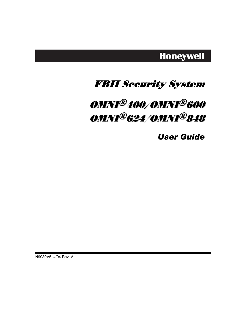# **Honeywell**

# FBII Security System

# OMNI®400/OMNI®600 OMNI®624/OMNI®848

*User Guide* 

N9939V5 4/04 Rev. A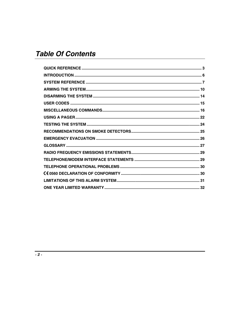# **Table Of Contents**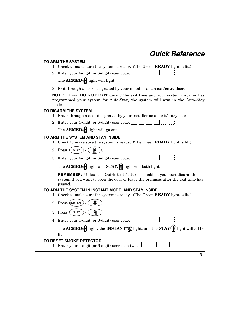### **Quick Reference**

#### **TO ARM THE SYSTEM**

- 1. Check to make sure the system is ready. (The Green **READY** light is lit.)
- 2. Enter your 4-digit (or 6-digit) user code.

The **ARMED**/**Q** light will light.

3. Exit through a door designated by your installer as an exit/entry door.

**NOTE:** If you DO NOT EXIT during the exit time and your system installer has programmed your system for Auto-Stay, the system will arm in the Auto-Stay mode.

#### **TO DISARM THE SYSTEM**

- 1. Enter through a door designated by your installer as an exit/entry door.
- 2. Enter your 4-digit (or 6-digit) user code.

The **ARMED**/**A** light will go out.

#### **TO ARM THE SYSTEM AND STAY INSIDE**

- 1. Check to make sure the system is ready. (The Green **READY** light is lit.)
- 2. Press (STAY
- $\square$  (  $\square$  ) (  $\square$  ) 3. Enter your 4-digit (or 6-digit) user code.  $\mathbb{R}$

The **ARMED**/**A** light and **STAY**/**n** light will both light.

**REMEMBER:** Unless the Quick Exit feature is enabled, you must disarm the system if you want to open the door or leave the premises after the exit time has passed.

#### **TO ARM THE SYSTEM IN INSTANT MODE, AND STAY INSIDE**

- 1. Check to make sure the system is ready. (The Green **READY** light is lit.)
- 2. Press (INSTANT) / (
- 3. Press (STAY

4. Enter your 4-digit (or 6-digit) user code.

The **ARMED/** light, the **INSTANT/** light, and the **STAY/** light will all be lit.

#### **TO RESET SMOKE DETECTOR**

1. Enter your 4-digit (or 6-digit) user code twice.

*- 3 -*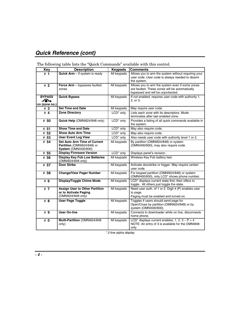### **Quick Reference (cont)**

| <b>Key</b>                                             | <b>Description</b>                                                                               | <b>Keypads</b>        | <b>Comments</b>                                                                                                                        |
|--------------------------------------------------------|--------------------------------------------------------------------------------------------------|-----------------------|----------------------------------------------------------------------------------------------------------------------------------------|
| # 1                                                    | Quick Arm - if system is ready                                                                   | All keypads           | Allows you to arm the system without requiring your<br>user code. User code is always needed to disarm<br>the system.                  |
| #2                                                     | <b>Force Arm</b> $-$ bypasses faulted<br>zones                                                   | All keypads           | Allows you to arm the system even if some zones<br>are faulted. These zones will be automatically<br>bypassed and will be unprotected. |
| <b>BYPASS</b><br>$\blacktriangleleft$<br>nn (zone no.) | <b>Quick Bypass</b>                                                                              | All keypads           | If not enabled, requires user code with authority 1,<br>2, or 3.                                                                       |
| #3                                                     | <b>Set Time and Date</b>                                                                         | All keypads           | May require user code.                                                                                                                 |
| # 4                                                    | <b>Zone Directory</b>                                                                            | LCD <sup>*</sup> only | Lists each zone with its descriptors. Mode<br>terminates after last enabled zone.                                                      |
| # 50                                                   | Quick Help (OMNI624/848 only)                                                                    | LCD <sup>*</sup> only | Provides a listing of all quick commands available in<br>the system.                                                                   |
| # 51                                                   | <b>Show Time and Date</b>                                                                        | LCD <sup>*</sup> only | May also require code.                                                                                                                 |
| # 52                                                   | <b>Show Auto Arm Time</b>                                                                        | LCD <sup>*</sup> only | May also require code.                                                                                                                 |
| # 53                                                   | <b>User Event Log View</b>                                                                       | LCD <sup>*</sup> only | Also needs user code with authority level 1 or 2.                                                                                      |
| # 54                                                   | <b>Set Auto Arm Time of Current</b><br>Partition (OMNI624/848) or<br><b>System (OMNI400/600)</b> | All keypads           | By partition (OMNI624/848) or system<br>(OMNI400/600), may also require code.                                                          |
| # 55                                                   | <b>Display Firmware Version</b>                                                                  | LCD <sup>*</sup> only | Displays panel's revision.                                                                                                             |
| # 56                                                   | <b>Display Key Fob Low Batteries</b><br>(OMNI624/848 only)                                       | All keypads           | Wireless Key Fob battery test.                                                                                                         |
| # 57                                                   | <b>Door Strike</b>                                                                               | All keypads           | Activate doorstrike or trigger. May require certain<br>user code.                                                                      |
| # 58                                                   | <b>Change/View Pager Number</b>                                                                  | All keypads           | For keypad partition (OMNI624/848) or system<br>(OMNI400/600), only LCD* shows phone number.                                           |
| # 6                                                    | Display/Toggle Chime Mode                                                                        | All keypads           | LCD <sup>*</sup> displays current state first, then offers to<br>toggle. All others just toggle the state.                             |
| #7                                                     | <b>Assign User to Other Partition</b><br>or to Activate Paging<br>(OMNI624/848 only)             | All keypads           | Need user auth. of 1 or 2. Digit 4 (P) enables user<br>to page.<br>Paging must be enabled and turned on.                               |
| #8                                                     | <b>User Page Toggle</b>                                                                          | All keypads           | Toggles if users should send page for<br>Open/Close by partition (OMNI624/848) or by<br>system (OMNI400/600).                          |
| #9                                                     | <b>User On-line</b>                                                                              | All keypads           | Connects to downloader while on line, disconnects<br>home phone.                                                                       |
| # 0                                                    | Multi-Partition (OMNI624/848<br>only)                                                            | All keypads           | LCD <sup>*</sup> displays current enables, 1, 2, $3 - P = 4$<br>NOTE: An entry of 3 is available for the OMNI848<br>only               |

The following table lists the "Quick Commands" available with this control.

\* 2-line alpha display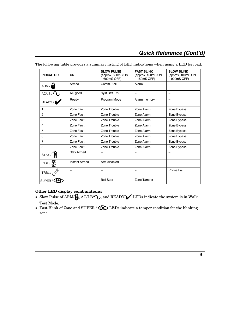| <b>INDICATOR</b>   | ON                   | <b>SLOW PULSE</b><br>(approx. 600mS ON<br>$-600mS$ OFF) | <b>FAST BLINK</b><br>(approx. 150mS ON<br>$-150mS$ OFF) | <b>SLOW BLINK</b><br>(approx. 100mS ON<br>$-900$ mS OFF) |
|--------------------|----------------------|---------------------------------------------------------|---------------------------------------------------------|----------------------------------------------------------|
| ARM /              | Armed                | Comm. Fail                                              | Alarm                                                   |                                                          |
| AC/LB / C          | AC good              | Syst Batt Trbl                                          |                                                         | -                                                        |
| READY /            | Ready                | Program Mode                                            | Alarm memory                                            |                                                          |
| 1                  | Zone Fault           | Zone Trouble                                            | Zone Alarm                                              | Zone Bypass                                              |
| $\overline{2}$     | Zone Fault           | Zone Trouble                                            | Zone Alarm                                              | Zone Bypass                                              |
| 3                  | Zone Fault           | Zone Trouble                                            | Zone Alarm                                              | Zone Bypass                                              |
| 4                  | Zone Fault           | Zone Trouble                                            | Zone Alarm                                              | Zone Bypass                                              |
| 5                  | Zone Fault           | Zone Trouble                                            | Zone Alarm                                              | Zone Bypass                                              |
| 6                  | Zone Fault           | Zone Trouble                                            | Zone Alarm                                              | Zone Bypass                                              |
| $\overline{7}$     | Zone Fault           | Zone Trouble                                            | Zone Alarm                                              | Zone Bypass                                              |
| 8                  | Zone Fault           | Zone Trouble                                            | Zone Alarm                                              | Zone Bypass                                              |
| STAY/              | <b>Stay Armed</b>    |                                                         |                                                         | -                                                        |
| INST/              | <b>Instant Armed</b> | Arm disabled                                            |                                                         | $\overline{\phantom{0}}$                                 |
| TRBL / $\sigma$    |                      |                                                         |                                                         | Phone Fail                                               |
| SUPER <sub>/</sub> |                      | <b>Bell Supr</b>                                        | Zone Tamper                                             |                                                          |

The following table provides a summary listing of LED indications when using a LED keypad.

#### **Other LED display combinations:**

- Slow Pulse of ARM/ $\bigoplus$ , AC/LB/ $\bigcirc$ , and READY/ $\bigcirc$  LEDs indicate the system is in Walk Test Mode.
- Fast Blink of Zone and SUPER /  $\bigodot$  LEDs indicate a tamper condition for the blinking zone.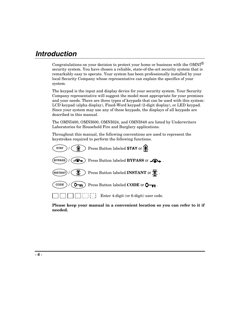# **Introduction**

Congratulations on your decision to protect your home or business with the  $OMNI^{\circledR}$ security system. You have chosen a reliable, state-of-the-art security system that is remarkably easy to operate. Your system has been professionally installed by your local Security Company whose representative can explain the specifics of your system.

The keypad is the input and display device for your security system. Your Security Company representative will suggest the model most appropriate for your premises and your needs. There are three types of keypads that can be used with this system: LCD keypad (alpha display), Fixed-Word keypad (2-digit display), or LED keypad. Since your system may use any of these keypads, the displays of all keypads are described in this manual.

The OMNI400, OMNI600, OMNI624, and OMNI848 are listed by Underwriters Laboratories for Household Fire and Burglary applications.

Throughout this manual, the following conventions are used to represent the keystrokes required to perform the following functions.



**Please keep your manual in a convenient location so you can refer to it if needed.**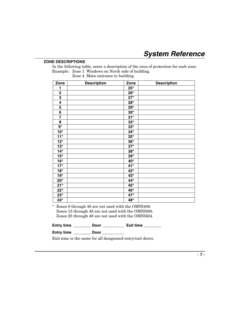#### **ZONE DESCRIPTIONS**

In the following table, enter a description of the area of protection for each zone. Example: Zone 1 Windows on North side of building.

Zone 4 Main entrance to building.

| Zone                    | <b>Description</b> | Zone  | <b>Description</b> |
|-------------------------|--------------------|-------|--------------------|
| 1                       |                    | $25*$ |                    |
| $\mathbf 2$             |                    | $26*$ |                    |
| $\overline{\mathbf{3}}$ |                    | $27*$ |                    |
| 4                       |                    | $28*$ |                    |
| 5                       |                    | $29*$ |                    |
| $\overline{\mathbf{6}}$ |                    | $30*$ |                    |
| $\overline{\mathbf{7}}$ |                    | $31*$ |                    |
| 8                       |                    | $32*$ |                    |
| $9^{\star}$             |                    | $33*$ |                    |
| $10*$                   |                    | $34*$ |                    |
| $11*$                   |                    | $35*$ |                    |
| $12*$                   |                    | $36*$ |                    |
| $13*$                   |                    | $37*$ |                    |
| $14*$                   |                    | $38*$ |                    |
| $15*$                   |                    | $39*$ |                    |
| $16*$                   |                    | 40*   |                    |
| $17*$                   |                    | $41*$ |                    |
| $18*$                   |                    | 42*   |                    |
| $19*$                   |                    | 43*   |                    |
| $20*$                   |                    | 44*   |                    |
| $\overline{21}^*$       |                    | 45*   |                    |
| $22*$                   |                    | 46*   |                    |
| $23*$                   |                    | $47*$ |                    |
| $24*$                   |                    | 48*   |                    |

\* Zones 9 through 48 are not used with the OMNI400. Zones 13 through 48 are not used with the OMNI600. Zones 25 through 48 are not used with the OMNI624.

| <b>Entry time</b> | Door | <b>Exit time</b> |
|-------------------|------|------------------|
|-------------------|------|------------------|

**Entry time \_\_\_\_\_\_\_\_ Door \_\_\_\_\_\_\_\_\_\_**

Exit time is the same for all designated entry/exit doors.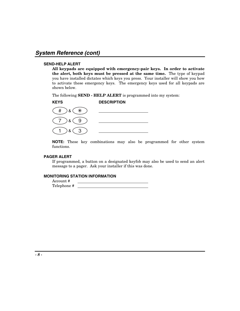#### **SEND-HELP ALERT**

**All keypads are equipped with emergency-pair keys. In order to activate the alert, both keys must be pressed at the same time.** The type of keypad you have installed dictates which keys you press. Your installer will show you how to activate these emergency keys. The emergency keys used for all keypads are shown below.

The following **SEND - HELP ALERT** is programmed into my system:



**NOTE:** These key combinations may also be programmed for other system functions.

#### **PAGER ALERT**

If programmed, a button on a designated keyfob may also be used to send an alert message to a pager. Ask your installer if this was done.

#### **MONITORING STATION INFORMATION**

Account # Telephone #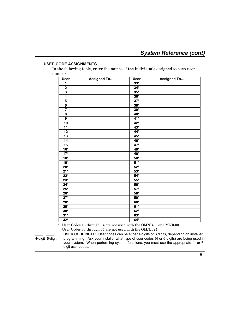#### **USER CODE ASSIGNMENTS**

In the following table, enter the names of the individuals assigned to each user number.

| <b>User</b>             | <b>Assigned To</b> | <b>User</b>           | <b>Assigned To</b> |
|-------------------------|--------------------|-----------------------|--------------------|
| 1                       |                    | $33*$                 |                    |
| $\overline{\mathbf{2}}$ |                    | $34*$                 |                    |
| $\overline{\mathbf{3}}$ |                    | $35*$                 |                    |
| $\overline{\mathbf{4}}$ |                    | $36*$                 |                    |
| $\overline{5}$          |                    | $\overline{37}^*$     |                    |
| $\overline{\mathbf{6}}$ |                    | $\bf 38^{\star}$      |                    |
|                         |                    | $39*$                 |                    |
| 8                       |                    | 40*                   |                    |
| 9                       |                    | 41*                   |                    |
| $\overline{10}$         |                    | $42*$                 |                    |
| $\overline{11}$         |                    | $43*$                 |                    |
| 12                      |                    | $44*$                 |                    |
| 13                      |                    | $45*$                 |                    |
| 14                      |                    | $46*$                 |                    |
| 15                      |                    | $47*$                 |                    |
| $16*$                   |                    | 48*                   |                    |
| $17*$                   |                    | 49*                   |                    |
| $18*$                   |                    | $50*$                 |                    |
| $19*$                   |                    | $51*$                 |                    |
| $20*$                   |                    | $52*$                 |                    |
| $21*$                   |                    | $53*$                 |                    |
| $\overline{22^*}$       |                    | $54*$                 |                    |
| $23*$                   |                    | $55^{\star}$          |                    |
| $24*$                   |                    | $56*$                 |                    |
| $25*$                   |                    | $57*$                 |                    |
| $26*$                   |                    | $\mathbf{58}^{\star}$ |                    |
| $\overline{27}^*$       |                    | $59*$                 |                    |
| $28*$                   |                    | $60^{\star}$          |                    |
| $29*$                   |                    | $61*$                 |                    |
| $30*$                   |                    | $62*$                 |                    |
| $31*$                   |                    | $63*$                 |                    |
| $32*$                   |                    | $64*$                 |                    |

\* User Codes 16 through 64 are not used with the OMNI400 or OMNI600. User Codes 33 through 64 are not used with the OMNI624.

**LACTE:** User codes can be either 4 digits or 6 digits, depending on installer 4 digits or 6 digits, depending on installer 4 digits or 6 digits) are being used in **4-**digit 6-digit programming. Ask your installer what type of user codes (4 or 6 digits) are being used in your system. When performing system functions, you must use the appropriate 4- or 6 digit user codes.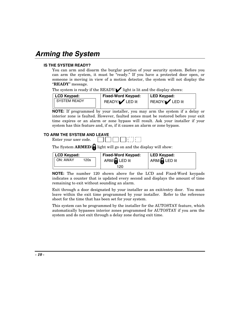# **Arming the System**

#### **IS THE SYSTEM READY?**

You can arm and disarm the burglar portion of your security system. Before you can arm the system, it must be "ready." If you have a protected door open, or someone is moving in view of a motion detector, the system will not display the "**READY**" message.

The system is ready if the READY/ $\blacktriangle$  light is lit and the display shows:

| LCD Keypad:            | <b>Fixed-Word Keypad:</b> | LED Keypad:     |
|------------------------|---------------------------|-----------------|
| <b>II SYSTEM READY</b> | READY/V LED lit           | READY/V LED lit |

**NOTE:** If programmed by your installer, you may arm the system if a delay or interior zone is faulted. However, faulted zones must be restored before your exit time expires or an alarm or zone bypass will result. Ask your installer if your system has this feature and, if so, if it causes an alarm or zone bypass.

#### **TO ARM THE SYSTEM AND LEAVE**

Enter your user code.

The System **ARMED/** light will go on and the display will show:



**NOTE:** The number 120 shown above for the LCD and Fixed-Word keypads indicates a counter that is updated every second and displays the amount of time remaining to exit without sounding an alarm.

Exit through a door designated by your installer as an exit/entry door. You must leave within the exit time programmed by your installer. Refer to the reference sheet for the time that has been set for your system.

This system can be programmed by the installer for the AUTOSTAY feature, which automatically bypasses interior zones programmed for AUTOSTAY if you arm the system and do not exit through a delay zone during exit time.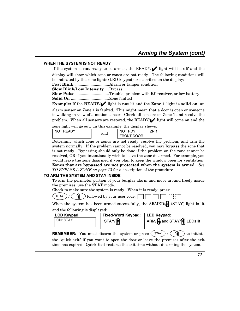#### **WHEN THE SYSTEM IS NOT READY**

If the system is **not** ready to be armed, the READY/✔ light will be **off** and the display will show which zone or zones are not ready. The following conditions will be indicated by the zone lights (LED keypad) or described on the display:

**Fast Blink** ...............................Alarm or tamper condition

**Slow Blink/Low Intensity** ...Bypass

**Slow Pulse** ..............................Trouble, problem with RF receiver, or low battery **Solid On** ...................................Zone faulted

**Example:** If the **READY/**✔ light is **not** lit and the **Zone 1** light **is solid on**, an

alarm sensor on Zone 1 is faulted. This might mean that a door is open or someone is walking in view of a motion sensor. Check all sensors on Zone 1 and resolve the problem. When all sensors are restored, the READY $\blacktriangleright$  light will come on and the

zone light will go out. In this example, the display shows:

| <b>NOT READY</b> | and | NOT RDY           | 'NL |
|------------------|-----|-------------------|-----|
|                  |     | <b>FRONT DOOR</b> |     |

Determine which zone or zones are not ready, resolve the problem, and arm the system normally. If the problem cannot be resolved, you may **bypass** the zone that is not ready. Bypassing should only be done if the problem on the zone cannot be resolved, OR if you intentionally wish to leave the zone disarmed. For example, you would leave the zone disarmed if you plan to keep the window open for ventilation. **Zones that are bypassed are not protected when the system is armed.** *See TO BYPASS A ZONE on page 13* for a description of the procedure.

#### **TO ARM THE SYSTEM AND STAY INSIDE**

To arm the perimeter portion of your burglar alarm and move around freely inside the premises, use the **STAY** mode.

Check to make sure the system is ready. When it is ready, press:

**STAY**  $\binom{?}{k}$  **followed by your user code.** 

When the system has been armed successfully, the ARMED/ $\bigcap$  (STAY) light is lit and the following is displayed:

| <b>LCD Keypad:</b> | <b>Fixed-Word Keypad:</b> | LED Kevpad:                                                          |
|--------------------|---------------------------|----------------------------------------------------------------------|
| II ON: STAY        | STAY/M                    | $\mathsf{I}$ ARM/ $\mathsf{A}$ and STAY/ $\hat{\mathsf{M}}$ LEDs lit |

**REMEMBER:** You must disarm the system or press  $(\sin \theta) / (\hat{\theta})$  to initiate the "quick exit" if you want to open the door or leave the premises after the exit time has expired. Quick Exit restarts the exit time without disarming the system.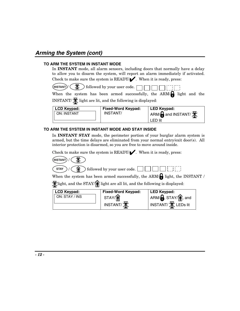### **Arming the System (cont)**

#### **TO ARM THE SYSTEM IN INSTANT MODE**

In **INSTANT** mode, all alarm sensors, including doors that normally have a delay to allow you to disarm the system, will report an alarm immediately if activated. Check to make sure the system is  $READV$ . When it is ready, press:

 $\frac{1}{2}$  **INSTANT** $\frac{1}{2}$   $\left(\frac{1}{2}$   $\frac{1}{2}$  followed by your user code.

When the system has been armed successfully, the  $ARM/\bigoplus$  light and the INSTANT/ $\bigtimes$  light are lit, and the following is displayed:



#### **TO ARM THE SYSTEM IN INSTANT MODE AND STAY INSIDE**

In **INSTANT STAY** mode, the perimeter portion of your burglar alarm system is armed, but the time delays are eliminated from your normal entry/exit door(s). All interior protection is disarmed, so you are free to move around inside.

Check to make sure the system is  $READV / \blacktriangle$ . When it is ready, press:



 $\text{STAY}$  /  $\left(\bigcap_{i=1}^{\infty}\right)$  followed by your user code. indind

When the system has been armed successfully, the ARM/ $\bigcap$  light, the INSTANT /

 $\mathbb{X}$ light, and the STAY/ $\hat{\mathbb{I}}$  light are all lit, and the following is displayed:

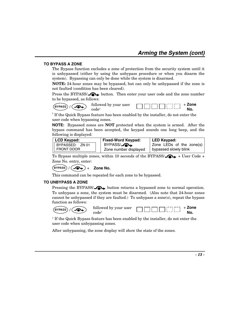#### **TO BYPASS A ZONE**

The Bypass function excludes a zone of protection from the security system until it is unbypassed (either by using the unbypass procedure or when you disarm the system). Bypassing can only be done while the system is disarmed.

**NOTE:** 24-hour zones may be bypassed, but can only be unbypassed if the zone is not faulted (condition has been cleared).

Press the BYPASS/ $\bullet\bullet$  button. Then enter your user code and the zone number to be bypassed, as follows:

**BYPASS** / **ALL** followed by your user code†

+ **Zone No.**

† If the Quick Bypass feature has been enabled by the installer, do not enter the user code when bypassing zones.

**NOTE:** Bypassed zones are **NOT** protected when the system is armed. After the bypass command has been accepted, the keypad sounds one long beep, and the following is displayed:

| LCD Keypad:        | <b>Fixed-Word Keypad:</b> | ∣ LED Keypad:            |
|--------------------|---------------------------|--------------------------|
| II BYPASSED: ZN 01 | BYPASS/ <b>AL</b>         | Zone LEDs of the zone(s) |
| II FRONT DOOR      | Zone number displayed     | bypassed slowly blink    |

To Bypass multiple zones, within 10 seconds of the BYPASS/ $\bigodot$  + User Code + Zone No. entry, enter:

 $(BYPASS) / (I \rightarrow ) +$  Zone No.

This command can be repeated for each zone to be bypassed.

#### **TO UNBYPASS A ZONE**

Pressing the BYPASS/ $\bigodot$  button returns a bypassed zone to normal operation. To unbypass a zone, the system must be disarmed. (Also note that 24-hour zones cannot be unbypassed if they are faulted.) To unbypass a zone(s), repeat the bypass function as follows:

**BYPASS** / **COL** followed by your user + **Zone**  197877 code† **No.**

† If the Quick Bypass feature has been enabled by the installer, do not enter the user code when unbypassing zones.

After unbypassing, the zone display will show the state of the zones.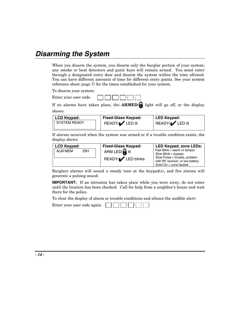# **Disarming the System**

When you disarm the system, you disarm only the burglar portion of your system; any smoke or heat detectors and panic keys will remain armed. You must enter through a designated entry door and disarm the system within the time allowed. You can have different amounts of time for different entry points. See your system reference sheet *(page 7)* for the times established for your system.

To disarm your system:

| Enter your user code. |  |  | <b>ANDO DATE</b> |
|-----------------------|--|--|------------------|
|-----------------------|--|--|------------------|

If no alarms have taken place, the **ARMED/** light will go off, or the display shows:

| LCD Keypad:     | <b>Fixed-Glass Keypad:</b> | LED Keypad:     |
|-----------------|----------------------------|-----------------|
| II SYSTEM READY | READY/V LED lit            | READY/V LED lit |

If alarms occurred when the system was armed or if a trouble condition exists, the display shows:

| <b>LCD Keypad:</b>                |  | <b>Fixed-Glass Keypad:</b> | LED Keypad, zone LEDs:                                            |  |  |  |
|-----------------------------------|--|----------------------------|-------------------------------------------------------------------|--|--|--|
| <b>ALM MEM</b><br>ZN <sub>1</sub> |  | ARM LED/ $\bigcap$ lit     | Fast Blink = alarm or tamper<br>Slow Blink = bypass               |  |  |  |
|                                   |  | READY/ <i>I</i> LED blinks | Slow Pulse = trouble, problem<br>with RF receiver, or low battery |  |  |  |
|                                   |  |                            | Solid $On = zone$ faulted                                         |  |  |  |

Burglary alarms will sound a steady tone at the keypad(s), and fire alarms will generate a pulsing sound.

**IMPORTANT:** If an intrusion has taken place while you were away, do not enter until the location has been checked. Call for help from a neighbor's house and wait there for the police.

To clear the display of alarm or trouble conditions and silence the audible alert:

Enter your user code again.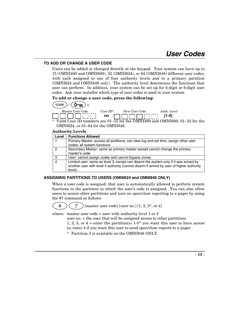#### **TO ADD OR CHANGE A USER CODE**

Users can be added or changed directly at the keypad. Your system can have up to 15 (OMNI400 and OMNI600), 32 (OMNI624), or 64 (OMNI848) different user codes, with each assigned to one of four authority levels and to a primary partition (OMNI624 and OMNI848 only). The authority level determines the functions that user can perform. In addition, your system can be set up for 4-digit or 6-digit user codes. Ask your installer which type of user codes is used in your system.

**To add or change a user code, press the following:** 



OMNI624, or 01–64 for the OMNI848.

#### **Authority Levels**

| Level         | <b>Functions Allowed</b>                                                                |
|---------------|-----------------------------------------------------------------------------------------|
|               | Primary Master: access all partitions; can view log and set time; assign other user     |
|               | codes; all system functions                                                             |
| $\mathcal{P}$ | Secondary Master: same as primary master except cannot change the primary               |
|               | master's code                                                                           |
| -3            | User: cannot assign codes and cannot bypass zones                                       |
| 4             | Limited user: same as level 3, except can disarm the system only if it was armed by     |
|               | another user with level 4 authority (cannot disarm if armed by user of higher authority |
|               | level).                                                                                 |

#### **ASSIGNING PARTITIONS TO USERS (OMNI624 and OMNI848 ONLY)**

When a user code is assigned, that user is automatically allowed to perform system functions in the partition in which the user's code is assigned. You can also allow users to access other partitions and turn on open/close reporting to a pager by using the #7 command as follows:



 $\#$   $\left($   $\left($   $\frac{7}{2}$   $\right)$  [master user code] [user no.] [1, 2, 3<sup>\*</sup>, or 4]

where: master user code = user with authority level 1 or 2

user no. = the user that will be assigned access to other partitions

1, 2, 3, or  $4 =$  enter the partition(s) 1-3\* you want this user to have access to; enter 4 if you want this user to send open/close reports to a pager

\* Partition 3 is available on the OMNI848 ONLY.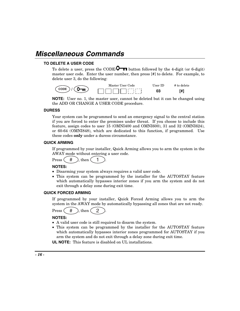# **Miscellaneous Commands**

#### **TO DELETE A USER CODE**

To delete a user, press the CODE/ $\bigcirc$  button followed by the 4-digit (or 6-digit) master user code. Enter the user number, then press [#] to delete. For example, to delete user 3, do the following:



**NOTE:** User no. 1, the master user, cannot be deleted but it can be changed using the ADD OR CHANGE A USER CODE procedure.

#### **DURESS**

Your system can be programmed to send an emergency signal to the central station if you are forced to enter the premises under threat. If you choose to include this feature, assign codes to user 15 (OMNI400 and OMNI600), 31 and 32 (OMNI624), or 60-64 (OMNI848), which are dedicated to this function, if programmed. Use these codes **only** under a duress circumstance.

#### **QUICK ARMING**

If programmed by your installer, Quick Arming allows you to arm the system in the AWAY mode without entering a user code.

Press  $($  #  $)$ , then  $($  1

#### **NOTES:**

- Disarming your system always requires a valid user code.
- This system can be programmed by the installer for the AUTOSTAY feature which automatically bypasses interior zones if you arm the system and do not exit through a delay zone during exit time.

#### **QUICK FORCED ARMING**

If programmed by your installer, Quick Forced Arming allows you to arm the system in the AWAY mode by automatically bypassing all zones that are not ready.

Press  $($  #  $)$ , then  $($  2

#### **NOTES:**

- A valid user code is still required to disarm the system.
- This system can be programmed by the installer for the AUTOSTAY feature which automatically bypasses interior zones programmed for AUTOSTAY if you arm the system and do not exit through a delay zone during exit time.

**UL NOTE:** This feature is disabled on UL installations.

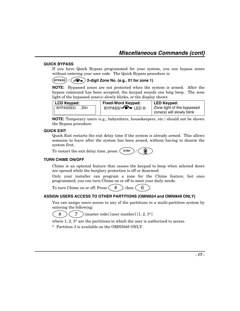#### **QUICK BYPASS**

If you have Quick Bypass programmed for your system, you can bypass zones without entering your user code. The Quick Bypass procedure is:

#### **BYPASS** / **2-digit Zone No. (e.g., 01 for zone 1)**

**NOTE:** Bypassed zones are not protected when the system is armed. After the bypass command has been accepted, the keypad sounds one long beep. The zone light of the bypassed zone(s) slowly blinks, or the display shows:

| <b>LCD Keypad:</b>             | <b>Fixed-Word Keypad:</b>  | LED Keypad:                |  |  |  |
|--------------------------------|----------------------------|----------------------------|--|--|--|
| I BYPASSED:<br>ZN <sub>1</sub> | BYPASS/ <b>-O+</b> LED lit | Zone light of the bypassed |  |  |  |
|                                |                            | zone(s) will slowly blink  |  |  |  |

**NOTE:** Temporary users (e.g., babysitters, housekeepers, etc.) should not be shown the Bypass procedure.

#### **QUICK EXIT**

Quick Exit restarts the exit delay time if the system is already armed. This allows someone to leave after the system has been armed, without having to disarm the system first.

| To restart the exit delay time, press: $\binom{STAT}{}$ / |  |  |
|-----------------------------------------------------------|--|--|
|-----------------------------------------------------------|--|--|

#### **TURN CHIME ON/OFF**

Chime is an optional feature that causes the keypad to beep when selected doors are opened while the burglary protection is off or disarmed.

Only your installer can program a zone for the Chime feature, but once programmed, you can turn Chime on or off to meet your daily needs.

To turn Chime on or off: Press  $($  #  $)$ , then  $($  6

#### **ASSIGN USERS ACCESS TO OTHER PARTITIONS (OMNI624 and OMNI848 ONLY)**

You can assign users access to any of the partitions in a multi-partition system by entering the following:



where 1, 2,  $3^*$  are the partitions to which the user is authorized to access.

\* Partition 3 is available on the OMNI848 ONLY.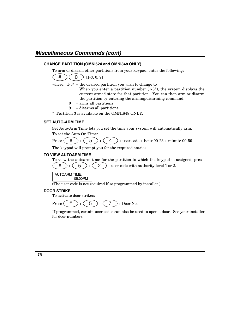### **Miscellaneous Commands (cont)**

#### **CHANGE PARTITION (OMNI624 and OMNI848 ONLY)**

To arm or disarm other partitions from your keypad, enter the following:



where:  $1-3^*$  = the desired partition you wish to change to

When you enter a partition number  $(1-3^*)$ , the system displays the current armed state for that partition. You can then arm or disarm the partition by entering the arming/disarming command.

- $0 = \text{arms all partitions}$
- $9 =$  disarms all partitions

\* Partition 3 is available on the OMNI848 ONLY.

#### **SET AUTO-ARM TIME**

Set Auto-Arm Time lets you set the time your system will automatically arm. To set the Auto On Time:

Press  $(\# )+(\frac{5}{5})+(\frac{4}{4})+ \text{user code} + \text{hour } 00-23 + \text{minute } 00-59.$ 

The keypad will prompt you for the required entries.

#### **TO VIEW AUTOARM TIME**

To view the autoarm time for the partition to which the keypad is assigned, press: # + 5 + 2 + user code with authority level 1 or 2.

AUTOARM TIME: 05:00PM

(The user code is not required if so programmed by installer.)

#### **DOOR STRIKE**

To activate door strikes:

Press  $(\# )+(\frac{5}{2})+(\frac{7}{2})+Down$ .

If programmed, certain user codes can also be used to open a door. See your installer for door numbers.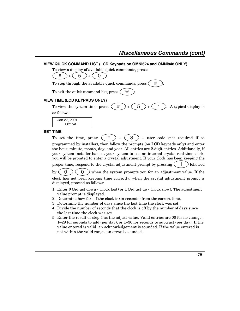#### **VIEW QUICK COMMAND LIST (LCD Keypads on OMNI624 and OMNI848 ONLY)**

To view a display of available quick commands, press:

$$
(\# ) + (5) + (0).
$$

To step through the available quick commands, press  $($  #

To exit the quick command list, press  $\theta$ 

#### **VIEW TIME (LCD KEYPADS ONLY)**

To view the system time, press:  $(\# )+(\frac{5}{2})+(\frac{1}{2})$ . A typical display is

as follows:

 Jan 27, 2001 08:15A

#### **SET TIME**

To set the time, press:  $( # ) + ( 3 ) +$  user code (not required if so programmed by installer), then follow the prompts (on LCD keypads only) and enter the hour, minute, month, day, and year. All entries are 2-digit entries. Additionally, if your system installer has set your system to use an internal crystal real-time clock, you will be promted to enter a crystal adjustment. If your clock has been keeping the proper time, respond to the crystal adjustment prompt by pressing  $(1)$  followed

by  $(0)$   $(0)$  when the system prompts you for an adjustment value. If the clock has not been keeping time correctly, when the crystal adjustment prompt is

displayed, proceed as follows:

- 1. Enter 0 (Adjust down Clock fast) or 1 (Adjust up Clock slow). The adjustment value prompt is displayed.
- 2. Determine how far off the clock is (in seconds) from the correct time.
- 3. Determine the number of days since the last time the clock was set.
- 4. Divide the number of seconds that the clock is off by the number of days since the last time the clock was set.
- 5. Enter the result of step 4 as the adjust value. Valid entries are 00 for no change, 1–29 for seconds to add (per day), or 1–30 for seconds to subtract (per day). If the value entered is valid, an acknowledgement is sounded. If the value entered is not within the valid range, an error is sounded.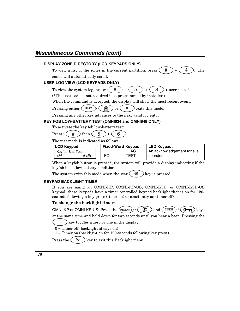### **Miscellaneous Commands (cont)**

#### **DISPLAY ZONE DIRECTORY (LCD KEYPADS ONLY)**

To view a list of the zones in the current partition, press  $(\# )+(\# )$ . The zones will automatically scroll.

#### **USER LOG VIEW (LCD KEYPADS ONLY)**

To view the system log, press:  $(\# )+(\frac{5}{2})+(\frac{3}{2})$  + user code.\*

(\*The user code is not required if so programmed by installer.)

When the command is accepted, the display will show the most recent event.

Pressing either  $\left( \begin{array}{c} \mathsf{STAY} \end{array} \right) / \left( \begin{array}{c} \hat{\mathsf{M}} \end{array} \right)$  or  $\left( \begin{array}{c} \ast \\ \end{array} \right)$  exits this mode.

Pressing any other key advances to the next valid log entry.

#### **KEY FOB LOW-BATTERY TEST (OMNI624 and OMNI848 ONLY)**

To activate the key fob low-battery test:

Press :  $(\# )$  then  $(5)$  +  $(6)$ 

The test mode is indicated as follows:

| LCD Keypad:               |    | <b>Fixed-Word Keypad:</b> | LED Keypad:                |  |  |  |
|---------------------------|----|---------------------------|----------------------------|--|--|--|
| <b>I</b> Keyfob Bat. Test |    | AС                        | An acknowledgement tone is |  |  |  |
| #56<br>$\bigstar = E$ xit | FΟ | TEST                      | sounded.                   |  |  |  |

When a keyfob button is pressed, the system will provide a display indicating if the keyfob has a low-battery condition.

The system exits this mode when the star  $(*\ast)$ key is pressed.

#### **KEYPAD BACKLIGHT TIMER**

If you are using an OMNI-KP, OMNI-KP-US, OMNI-LCD, or OMNI-LCD-US keypad, these keypads have a timer controlled keypad backlight that is on for 120 seconds following a key press (timer on) or constantly on (timer off).

#### **To change the backlight timer:**

OMNI-KP or OMNI-KP-US: Press the  $(\text{INSTANT}) / (\mathcal{K})$  and  $(\text{cone}) / (\mathcal{O}_{\text{TR}})$  keys

at the same time and hold down for two seconds until you hear a beep. Pressing the

1 ) key toggles a zero or one in the display.

 $0 =$  Timer off (backlight always on)

1 = Timer on (backlight on for 120-seconds following key press)

Press the  $(* )$  key to exit this Backlight menu.

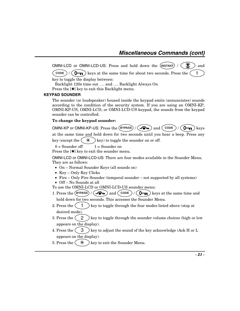OMNI-LCD or OMNI-LCD-US: Press and hold down the  $(\text{INSTANT}) / (\mathcal{K})$  and

**CODE**  $/$  ( $\mathbf{O}_{\mathbf{T}}$ ) keys at the same time for about two seconds. Press the  $(1)$ 

key to toggle the display between:

Backlight 120s time out …. and …. Backlight Always On

Press the [✱] key to exit this Backlight menu.

#### **KEYPAD SOUNDER**

The sounder (or loudspeaker) housed inside the keypad emits (annunciates) sounds according to the condition of the security system. If you are using an OMNI-KP, OMNI-KP-US, OMNI-LCD, or OMNI-LCD-US keypad, the sounds from the keypad sounder can be controlled.

#### **To change the keypad sounder:**

| OMNI-KP or OMNI-KP-US: Press the $(BYPASS) / (S+1)$ and $(CODE) / (O+1)$ keys |  |  |  |  |
|-------------------------------------------------------------------------------|--|--|--|--|
|                                                                               |  |  |  |  |
|                                                                               |  |  |  |  |

at the same time and hold down for two seconds until you hear a beep. Press any key (except the  $(*\ast)$  key) to toggle the sounder on or off.

 $0 =$  Sounder off  $1 =$  Sounder on

Press the [ $\ast$ ] key to exit the sounder menu.

OMNI-LCD or OMNI-LCD-US: There are four modes available in the Sounder Menu. They are as follows:

- On Normal Sounder Keys (all sounds on)
- Key Only Key Clicks
- Fire Only Fire Sounder (temporal sounder not supported by all systems)
- Off No Sounds at all
- To use the OMNI-LCD or OMNI-LCD-US sounder menu:
- 1. Press the  $\left(\frac{BYPASS}{\rightarrow}\right)$  /  $\left(\frac{A}{\rightarrow}\right)$  and  $\left(\frac{CODE}{\rightarrow}\right)$  /  $\left(\frac{B}{\rightarrow}\right)$  keys at the same time and hold down for two seconds. This accesses the Sounder Menu.
- 2. Press the  $\begin{pmatrix} 1 \end{pmatrix}$  key to toggle through the four modes listed above (stop at desired mode).
- 3. Press the  $\begin{pmatrix} 2 \end{pmatrix}$  key to toggle through the sounder volume choices (high or low appears on the display).
- 4. Press the  $\begin{pmatrix} 3 \end{pmatrix}$  key to adjust the sound of the key acknowledge (Ack H or L appears on the display).
- 5. Press the  $(*\ast)$  key to exit the Sounder Menu.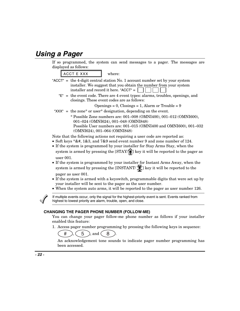### **Using a Pager**

If so programmed, the system can send messages to a pager. The messages are displayed as follows:

 $ACCT E XXX$  where:

- "ACCT" = the 4-digit central station No. 1 account number set by your system installer. We suggest that you obtain the number from your system installer and record it here. "ACCT"  $=$   $\vert$ 
	- "E" = the event code. There are 4 event types: alarms, troubles, openings, and closings. These event codes are as follows:

 $\text{Opening } = 0, \text{ Closing } = 1, \text{ Alarm or trouble } = 9$ 

- "XXX" = the zone\* or user\* designation, depending on the event.
	- \* Possible Zone numbers are: 001–008 (OMNI400), 001–012 (OMNI600), 001–024 (OMNI624), 001–048 (OMNI848) Possible User numbers are: 001–015 (OMNI400 and OMNI600), 001–032

(OMNI624), 001–064 (OMNI848) Note that the following actions not requiring a user code are reported as:

- Soft keys  $*&#$ , 1&3, and 7&9 send event number 9 and zone number of 124.
- If the system is programmed by your installer for Stay Arms Stay, when the system is armed by pressing the  $[STAY/\hat{p}]$  key it will be reported to the pager as user 001.
- If the system is programmed by your installer for Instant Arms Away, when the system is armed by pressing the [INSTANT/ $\mathcal{K}$ ] key it will be reported to the pager as user 001.
- If the system is armed with a keyswitch, programmable digits that were set up by your installer will be sent to the pager as the user number.
- When the system auto arms, it will be reported to the pager as user number 126.

If multiple events occur, only the signal for the highest-priority event is sent. Events ranked from highest to lowest priority are alarm, trouble, open, and close.

#### **CHANGING THE PAGER PHONE NUMBER (FOLLOW-ME)**

You can change your pager follow-me phone number as follows if your installer enabled this feature:

1. Access pager number programming by pressing the following keys in sequence:

 $#$  ),  $(5)$ , and  $(8)$ 

An acknowledgement tone sounds to indicate pager number programming has been accessed.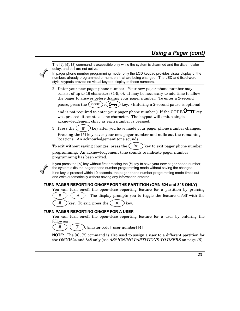

The [#], [5], [8] command is accessible only while the system is disarmed and the dialer, dialer delay, and bell are not active.

In pager phone number programming mode, only the LCD keypad provides visual display of the numbers already programmed or numbers that are being changed. The LED and fixed-word style keypads provide no visual keypad display of these numbers.

2. Enter your new pager phone number. Your new pager phone number may consist of up to 16 characters  $(1-9, 0)$ . It may be necessary to add time to allow the pager to answer before dialing your pager number. To enter a 2-second

pause, press the  $(\overline{\text{CODE}})$  /  $(\overline{\text{O}_{\text{m}}})$  key. (Entering a 2-second pause is optional

and is not required to enter your pager phone number.) If the CODE/ $\overline{O}$  **k**ev was pressed, it counts as one character. The keypad will emit a single acknowledgement chirp as each number is pressed.

3. Press the  $\left( \begin{array}{c} \# \\ \end{array} \right)$  key after you have made your pager phone number changes.

Pressing the [#] key saves your new pager number and nulls out the remaining locations. An acknowledgement tone sounds.

To exit without saving changes, press the  $(* )$  key to exit pager phone number

programming. An acknowledgement tone sounds to indicate pager number programming has been exited.

If you press the [✴] key without first pressing the [#] key to save your new pager phone number, the system exits the pager phone number programming mode without saving the changes. If no key is pressed within 10 seconds, the pager phone number programming mode times out

and exits automatically without saving any information entered.

#### **TURN PAGER REPORTING ON/OFF FOR THE PARTITION (OMNI624 and 848 ONLY)**

You can turn on/off the open-close reporting feature for a partition by pressing

 $\#$ ),  $(8)$ . The display prompts you to toggle the feature on/off with the

# key. To exit, press the  $(* )$  key.

#### **TURN PAGER REPORTING ON/OFF FOR A USER**

You can turn on/off the open-close reporting feature for a user by entering the following :

 $\#$  ),  $(7)$ , [master code] [user number] [4]

**NOTE:** The [#], [7] command is also used to assign a user to a different partition for the OMNI624 and 848 only (see *ASSIGNING PARTITIONS TO USERS* on page *15*).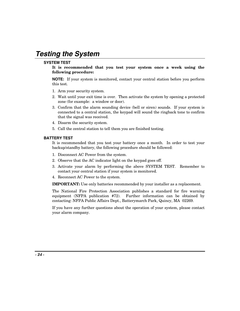# **Testing the System**

#### **SYSTEM TEST**

**It is recommended that you test your system once a week using the following procedure:**

**NOTE:** If your system is monitored, contact your central station before you perform this test.

- 1. Arm your security system.
- 2. Wait until your exit time is over. Then activate the system by opening a protected zone (for example: a window or door).
- 3. Confirm that the alarm sounding device (bell or siren) sounds. If your system is connected to a central station, the keypad will sound the ringback tone to confirm that the signal was received.
- 4. Disarm the security system.
- 5. Call the central station to tell them you are finished testing.

#### **BATTERY TEST**

It is recommended that you test your battery once a month. In order to test your backup/standby battery, the following procedure should be followed:

- 1. Disconnect AC Power from the system.
- 2. Observe that the AC indicator light on the keypad goes off.
- 3. Activate your alarm by performing the above SYSTEM TEST. Remember to contact your central station if your system is monitored.
- 4. Reconnect AC Power to the system.

**IMPORTANT:** Use only batteries recommended by your installer as a replacement.

The National Fire Protection Association publishes a standard for fire warning equipment (NFPA publication #72). Further information can be obtained by contacting: NFPA Public Affairs Dept., Batterymarch Park, Quincy, MA 02269.

If you have any further questions about the operation of your system, please contact your alarm company.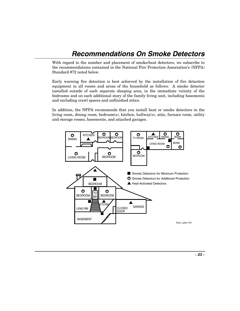# **Recommendations On Smoke Detectors**

With regard to the number and placement of smoke/heat detectors, we subscribe to the recommendations contained in the National Fire Protection Association's (NFPA) Standard #72 noted below.

Early warning fire detection is best achieved by the installation of fire detection equipment in all rooms and areas of the household as follows: A smoke detector installed outside of each separate sleeping area, in the immediate vicinity of the bedrooms and on each additional story of the family living unit, including basements and excluding crawl spaces and unfinished attics.

In addition, the NFPA recommends that you install heat or smoke detectors in the living room, dining room, bedroom(s), kitchen, hallway(s), attic, furnace room, utility and storage rooms, basements, and attached garages.

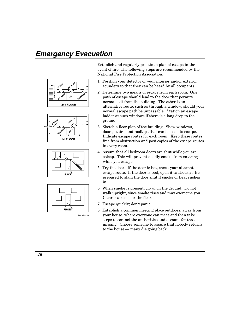# **Emergency Evacuation**









Establish and regularly practice a plan of escape in the event of fire. The following steps are recommended by the National Fire Protection Association:

- 1. Position your detector or your interior and/or exterior sounders so that they can be heard by all occupants.
- 2. Determine two means of escape from each room. One path of escape should lead to the door that permits normal exit from the building. The other is an alternative route, such as through a window, should your normal escape path be unpassable. Station an escape ladder at such windows if there is a long drop to the ground.
- 3. Sketch a floor plan of the building. Show windows, doors, stairs, and rooftops that can be used to escape. Indicate escape routes for each room. Keep these routes free from obstruction and post copies of the escape routes in every room.
- 4. Assure that all bedroom doors are shut while you are asleep. This will prevent deadly smoke from entering while you escape.
- 5. Try the door. If the door is hot, check your alternate escape route. If the door is cool, open it cautiously. Be prepared to slam the door shut if smoke or heat rushes in.
- 6. When smoke is present, crawl on the ground. Do not walk upright, since smoke rises and may overcome you. Clearer air is near the floor.
- 7. Escape quickly; don't panic.
- 8. Establish a common meeting place outdoors, away from your house, where everyone can meet and then take steps to contact the authorities and account for those missing. Choose someone to assure that nobody returns to the house — many die going back.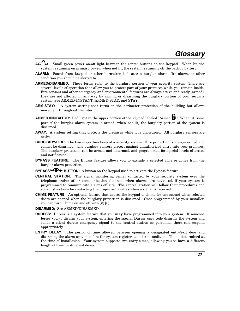- **AC/ :** Small green power on-off light between the center buttons on the keypad. When lit, the system is running on primary power; when not lit, the system is running off the backup battery.
- **ALARM:** Sound from keypad or other horn/siren indicates a burglar alarm, fire alarm, or other condition you should be alerted to.
- **ARMED/DISARMED:** These terms refer to the burglary portion of your security system. There are several levels of operation that allow you to protect part of your premises while you remain inside. Fire sensors and other emergency and environmental features are always active and ready (armed); they are not affected in any way by arming or disarming the burglary portion of your security system. See ARMED-INSTANT, ARMED-STAY, and STAY.
- **ARM-STAY:** A system setting that turns on the perimeter protection of the building but allows movement throughout the interior.
- **ARMED INDICATOR:** Red light in the upper portion of the keypad labeled "Armed/ **."** When lit, some part of the burglar alarm system is armed; when not lit, the burglary portion of the system is disarmed.
- **AWAY:** A system setting that protects the premises while it is unoccupied. All burglary sensors are active.
- **BURGLARY/FIRE:** The two major functions of a security system. Fire protection is always armed and cannot be disarmed. The burglary sensors protect against unauthorized entry into your premises. The burglary protection can be armed and disarmed, and programmed for special levels of access and notification.
- **BYPASS FEATURE:** The Bypass feature allows you to exclude a selected zone or zones from the burglar alarm protection.
- **BYPASS/-OF BUTTON:** A button on the keypad used to activate the Bypass feature.
- **CENTRAL STATION:** The signal monitoring center contacted by your security system over the telephone and/or other communication channels when alarms are activated, if your system is programmed to communicate alarms off site. The central station will follow their procedures and your instructions for contacting the proper authorities when a signal is received.
- **CHIME FEATURE:** An optional feature that causes the keypad to chime for one second when selected doors are opened when the burglary protection is disarmed. Once programmed by your installer, you can turn Chime on and off with [#] [6].

**DISARMED:** See ARMED/DISARMED.

- **DURESS:** Duress is a system feature that you **may** have programmed into your system. If someone forces you to disarm your system, entering the special Duress user code disarms the system and sends a silent duress emergency signal to the central station so personnel there can respond appropriately.
- **ENTRY DELAY:** The period of time allowed between opening a designated entry/exit door and disarming the alarm system before the system registers an alarm condition. This is determined at the time of installation. Your system supports two entry times, allowing you to have a different length of time for different doors.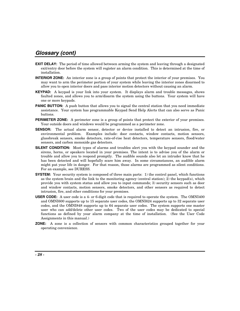### **Glossary (cont)**

- **EXIT DELAY:** The period of time allowed between arming the system and leaving through a designated exit/entry door before the system will register an alarm condition. This is determined at the time of installation.
- **INTERIOR ZONE:** An interior zone is a group of points that protect the interior of your premises. You may want to arm the perimeter portion of your system while leaving the interior zones disarmed to allow you to open interior doors and pass interior motion detectors without causing an alarm.
- **KEYPAD:** A keypad is your link into your system. It displays alarm and trouble messages, shows faulted zones, and allows you to arm/disarm the system using the buttons. Your system will have one or more keypads.
- **PANIC BUTTON:** A push button that allows you to signal the central station that you need immediate assistance. Your system has programmable Keypad Send Help Alerts that can also serve as Panic buttons.
- **PERIMETER ZONE:** A perimeter zone is a group of points that protect the exterior of your premises. Your outside doors and windows would be programmed as a perimeter zone.
- **SENSOR:** The actual alarm sensor, detector or device installed to detect an intrusion, fire, or environmental problem. Examples include: door contacts, window contacts, motion sensors, glassbreak sensors, smoke detectors, rate-of-rise heat detectors, temperature sensors, flood/water sensors, and carbon monoxide gas detectors.
- **SILENT CONDITION:** Most types of alarms and troubles alert you with the keypad sounder and the sirens, horns, or speakers located in your premises. The intent is to advise you of the alarm or trouble and allow you to respond promptly. The audible sounds also let an intruder know that he has been detected and will hopefully scare him away. In some circumstances, an audible alarm might put your life in danger. For that reason, those alarms are programmed as silent conditions. For an example, see DURESS.
- **SYSTEM:** Your security system is composed of three main parts: 1) the control panel, which functions as the system brain and the link to the monitoring agency (central station); 2) the keypad(s), which provide you with system status and allow you to input commands; 3) security sensors such as door and window contacts, motion sensors, smoke detectors, and other sensors as required to detect intrusion, fire, and other conditions for your premises.
- **USER CODE:** A user code is a 4- or 6-digit code that is required to operate the system. The OMNI400 and OMNI600 supports up to 15 separate user codes, the OMNI624 supports up to 32 separate user codes, and the OMNI848 supports up to 64 separate user codes. The system supports one master user who can add/delete other user codes. Two of the user codes may be dedicated to special functions as defined by your alarm company at the time of installation. (See the User Code Assignments in this manual.)
- **ZONE:** A zone is a collection of sensors with common characteristics grouped together for your operating convenience.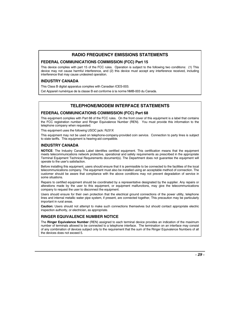#### **RADIO FREQUENCY EMISSIONS STATEMENTS**

#### **FEDERAL COMMUNICATIONS COMMISSION (FCC) Part 15**

This device complies with part 15 of the FCC rules. Operation is subject to the following two conditions: (1) This device may not cause harmful interference, and (2) this device must accept any interference received, including interference that may cause undesired operation.

#### **INDUSTRY CANADA**

This Class B digital apparatus complies with Canadian ICES-003.

Cet Appareil numérique de la classe B est conforme à la norme NMB-003 du Canada.

#### **TELEPHONE/MODEM INTERFACE STATEMENTS**

#### **FEDERAL COMMUNICATIONS COMMISSION (FCC) Part 68**

This equipment complies with Part 68 of the FCC rules. On the front cover of this equipment is a label that contains the FCC registration number and Ringer Equivalence Number (REN). You must provide this information to the telephone company when requested.

This equipment uses the following USOC jack: RJ31X

This equipment may not be used on telephone-company-provided coin service. Connection to party lines is subject to state tariffs. This equipment is hearing-aid compatible.

#### **INDUSTRY CANADA**

**NOTICE**: The Industry Canada Label identifies certified equipment. This certification means that the equipment meets telecommunications network protective, operational and safety requirements as prescribed in the appropriate Terminal Equipment Technical Requirements document(s). The Department does not guarantee the equipment will operate to the user's satisfaction.

Before installing this equipment, users should ensure that it is permissible to be connected to the facilities of the local telecommunications company. The equipment must also be installed using an acceptable method of connection. The customer should be aware that compliance with the above conditions may not prevent degradation of service in some situations.

Repairs to certified equipment should be coordinated by a representative designated by the supplier. Any repairs or alterations made by the user to this equipment, or equipment malfunctions, may give the telecommunications company to request the user to disconnect the equipment.

Users should ensure for their own protection that the electrical ground connections of the power utility, telephone lines and internal metallic water pipe system, if present, are connected together, This precaution may be particularly important in rural areas.

**Caution:** Users should not attempt to make such connections themselves but should contact appropriate electric inspection authority, or electrician, as appropriate.

#### **RINGER EQUIVALENCE NUMBER NOTICE**

The **Ringer Equivalence Number** (REN) assigned to each terminal device provides an indication of the maximum number of terminals allowed to be connected to a telephone interface. The termination on an interface may consist of any combination of devices subject only to the requirement that the sum of the Ringer Equivalence Numbers of all the devices does not exceed 5.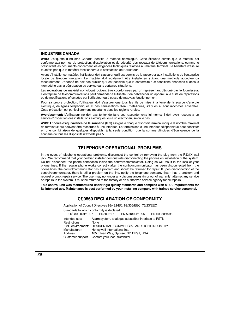#### **INDUSTRIE CANADA**

**AVIS:** L'étiquette d'Industrie Canada identifie le matériel homologué. Cette étiquette certifie que le matériel est conforme aux normes de protection, d'exploitation et de sécurité des réseaux de télécommunications, comme le prescrivent les documents concernant les exigences techniques relatives au matériel terminal. Le Ministère n'assure toutefois pas que le matériel fonctionnera à la satisfaction de l'utilisateur.

Avant d'installer ce matériel, l'utilisateur doit s'assurer qu'il est permis de le raccorder aux installations de l'enterprise locale de télécommunication. Le matériel doit également être installé en suivant une méthode acceptée da raccordement. L'abonné ne doit pas oublier qu'il est possible que la conformité aux conditions énoncées ci-dessus n'empêche pas la dégradation du service dans certaines situations.

Les réparations de matériel nomologué doivent être coordonnées par un représentant désigné par le fournisseur. L'entreprise de télécommunications peut demander à l'utilisateur da débrancher un appareil à la suite de réparations ou de modifications effectuées par l'utilisateur ou à cause de mauvais fonctionnement.

Pour sa propre protection, l'utilisateur doit s'assurer que tous les fils de mise à la terre de la source d'energie électrique, de lignes téléphoniques et des canalisations d'eau métalliques, s'il y en a, sont raccordés ensemble. Cette précaution est particulièrement importante dans les régions rurales.

**Avertissement:** L'utilisateur ne doit pas tenter de faire ces raccordements lui-même; il doit avoir racours à un service d'inspection des installations électriques, ou à un électricien, selon le cas.

**AVIS: L'indice d'équivalence de la sonnerie** (IES) assigné à chaque dispositif terminal indique le nombre maximal de terminaux qui peuvent être raccordés à une interface. La terminaison d'une interface téléphonique peut consister en une combinaison de quelques dispositifs, à la seule condition que la somme d'indices d'équivalence de la sonnerie de tous les dispositifs n'excède pas 5.

#### **TELEPHONE OPERATIONAL PROBLEMS**

In the event of telephone operational problems, disconnect the control by removing the plug from the RJ31X wall jack. We recommend that your certified installer demonstrate disconnecting the phones on installation of the system. Do not disconnect the phone connection inside the control/communicator. Doing so will result in the loss of your phone lines. If the regular phone works correctly after the control/communicator has been disconnected from the phone lines, the control/communicator has a problem and should be returned for repair. If upon disconnection of the control/communicator, there is still a problem on the line, notify the telephone company that it has a problem and request prompt repair service. The user may not under any circumstances (in or out of warranty) attempt any service or repairs to the system. It must be returned to the factory or an authorized service agency for all repairs.

**This control unit was manufactured under rigid quality standards and complies with all UL requirements for its intended use. Maintenance is best performed by your installing company with trained service personnel.** 

#### **0560 DECLARATION OF CONFORMITY**

Application of Council Directives 98/482/EC, 89/336/EEC, 73/23/EEC Standards to which conformity is declared:<br>ETS 300 001:1997 EN50081-1 EN 50130-4:1995 EN 60950:1998 Intended use: Alarm system, analogue subscriber interface to PSTN Restrictions: None<br>EMC environment: RESI RESIDENTIAL, COMMERCIAL AND LIGHT INDUSTRY Manufacturer: Honeywell International Inc.<br>Address: 165 Fileen Way, Syosset N' 165 Eileen Way, Syosset NY 11791, USA Customer support: Contact your local distributor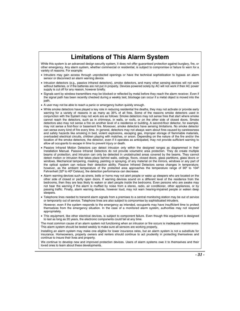### **Limitations of This Alarm System**

While this system is an advanced design security system, it does not offer guaranteed protection against burglary, fire, or other emergency. Any alarm system, whether commercial or residential, is subject to compromise or failure to warn for a variety of reasons. For example:

- Intruders may gain access through unprotected openings or have the technical sophistication to bypass an alarm sensor or disconnect an alarm warning device.
- Intrusion detectors (e.g., passive infrared detectors), smoke detectors, and many other sensing devices will not work without batteries, or if the batteries are not put in properly. Devices powered solely by AC will not work if their AC power supply is cut off for any reason, however briefly.
- Signals sent by wireless transmitters may be blocked or reflected by metal before they reach the alarm receiver. Even if the signal path has been recently checked during a weekly test, blockage can occur if a metal object is moved into the path.
- A user may not be able to reach a panic or emergency button quickly enough.
- While smoke detectors have played a key role in reducing residential fire deaths, they may not activate or provide early warning for a variety of reasons in as many as 35% of all fires. Some of the reasons smoke detectors used in conjunction with the System may not work are as follows: Smoke detectors may not sense fires that start where smoke cannot reach the detectors, such as in chimneys, in walls, or roofs, or on the other side of closed doors. Smoke detectors also may not sense a fire on another level of a residence or building. A second-floor detector, for example, may not sense a first-floor or basement fire. Moreover, smoke detectors have sensing limitations. No smoke detector can sense every kind of fire every time. In general, detectors may not always warn about fires caused by carelessness and safety hazards like smoking in bed, violent explosions, escaping gas, improper storage of flammable materials, overloaded electrical circuits, children playing with matches, or arson. Depending on the nature of the fire and/or the location of the smoke detectors, the detector, even if it operates as anticipated, may not provide sufficient warning to allow all occupants to escape in time to prevent injury or death.
- Passive Infrared Motion Detectors can detect intrusion only within the designed ranges as diagrammed in their Installation Manual. Passive Infrared Detectors do not provide volumetric area protection. They do create multiple beams of protection, and intrusion can only be detected in unobstructed areas covered by the beams. They cannot detect motion or intrusion that takes place behind walls, ceilings, floors, closed doors, glass partitions, glass doors or windows. Mechanical tampering, masking, painting or spraying, of any material on the mirrors, windows or any part of the optical system can reduce their detection ability. Passive Infrared Detectors sense changes in temperature; however, as the ambient temperature of the protected area approaches the temperature range of 90<sup>°</sup> to 104<sup>°</sup> Fahrenheit (32º to 40º Celsius), the detection performance can decrease.
- Alarm warning devices such as sirens, bells or horns may not alert people or wake up sleepers who are located on the other side of closed or partly open doors. If warning devices sound on a different level of the residence from the bedrooms, then they are less likely to waken or alert people inside the bedrooms. Even persons who are awake may not hear the warning if the alarm is muffled by noise from a stereo, radio, air conditioner, other appliances, or by passing traffic. Finally, alarm warning devices, however loud, may not warn hearing-impaired people or waken deep sleepers.
- Telephone lines needed to transmit alarm signals from a premises to a central monitoring station may be out of service or temporarily out of service. Telephone lines are also subject to compromise by sophisticated intruders.
- However, even if the system responds to the emergency as intended, occupants may have insufficient time to protect themselves from the emergency situation. In the case of a monitored alarm system, authorities may not respond appropriately.
- This equipment, like other electrical devices, is subject to component failure. Even though this equipment is designed to last as long as 20 years, the electronic components could fail at any time.

The most common cause of an alarm system not functioning when an intrusion or fire occurs is inadequate maintenance. This alarm system should be tested weekly to make sure all sensors are working properly.

Installing an alarm system may make one eligible for lower insurance rates, but an alarm system is not a substitute for insurance. Homeowners, property owners and renters should continue to act prudently in protecting themselves and continue to insure their lives and property.

We continue to develop new and improved protection devices. Users of alarm systems owe it to themselves and their loved ones to learn about these developments.